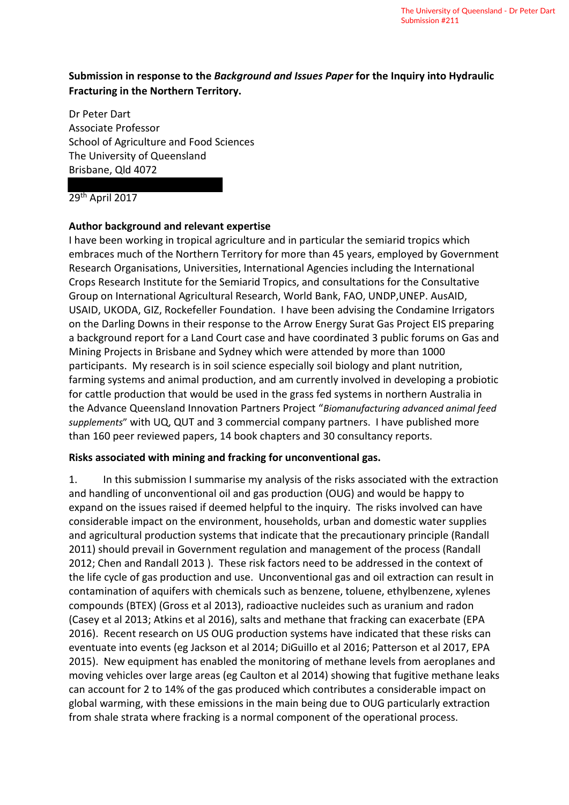# **Submission in response to the** *Background and Issues Paper* **for the Inquiry into Hydraulic Fracturing in the Northern Territory.**

Dr Peter Dart Associate Professor School of Agriculture and Food Sciences The University of Queensland Brisbane, Qld 4072

#### $29<sup>th</sup>$  April 2017

### **Author background and relevant expertise**

I have been working in tropical agriculture and in particular the semiarid tropics which embraces much of the Northern Territory for more than 45 years, employed by Government Research Organisations, Universities, International Agencies including the International Crops Research Institute for the Semiarid Tropics, and consultations for the Consultative Group on International Agricultural Research, World Bank, FAO, UNDP,UNEP. AusAID, USAID, UKODA, GIZ, Rockefeller Foundation. I have been advising the Condamine Irrigators on the Darling Downs in their response to the Arrow Energy Surat Gas Project EIS preparing a background report for a Land Court case and have coordinated 3 public forums on Gas and Mining Projects in Brisbane and Sydney which were attended by more than 1000 participants. My research is in soil science especially soil biology and plant nutrition, farming systems and animal production, and am currently involved in developing a probiotic for cattle production that would be used in the grass fed systems in northern Australia in the Advance Queensland Innovation Partners Project "*Biomanufacturing advanced animal feed supplements*" with UQ, QUT and 3 commercial company partners. I have published more than 160 peer reviewed papers, 14 book chapters and 30 consultancy reports.

### **Risks associated with mining and fracking for unconventional gas.**

1. In this submission I summarise my analysis of the risks associated with the extraction and handling of unconventional oil and gas production (OUG) and would be happy to expand on the issues raised if deemed helpful to the inquiry. The risks involved can have considerable impact on the environment, households, urban and domestic water supplies and agricultural production systems that indicate that the precautionary principle (Randall 2011) should prevail in Government regulation and management of the process (Randall 2012; Chen and Randall 2013 ). These risk factors need to be addressed in the context of the life cycle of gas production and use. Unconventional gas and oil extraction can result in contamination of aquifers with chemicals such as benzene, toluene, ethylbenzene, xylenes compounds (BTEX) (Gross et al 2013), radioactive nucleides such as uranium and radon (Casey et al 2013; Atkins et al 2016), salts and methane that fracking can exacerbate (EPA 2016). Recent research on US OUG production systems have indicated that these risks can eventuate into events (eg Jackson et al 2014; DiGuillo et al 2016; Patterson et al 2017, EPA 2015). New equipment has enabled the monitoring of methane levels from aeroplanes and moving vehicles over large areas (eg Caulton et al 2014) showing that fugitive methane leaks can account for 2 to 14% of the gas produced which contributes a considerable impact on global warming, with these emissions in the main being due to OUG particularly extraction from shale strata where fracking is a normal component of the operational process.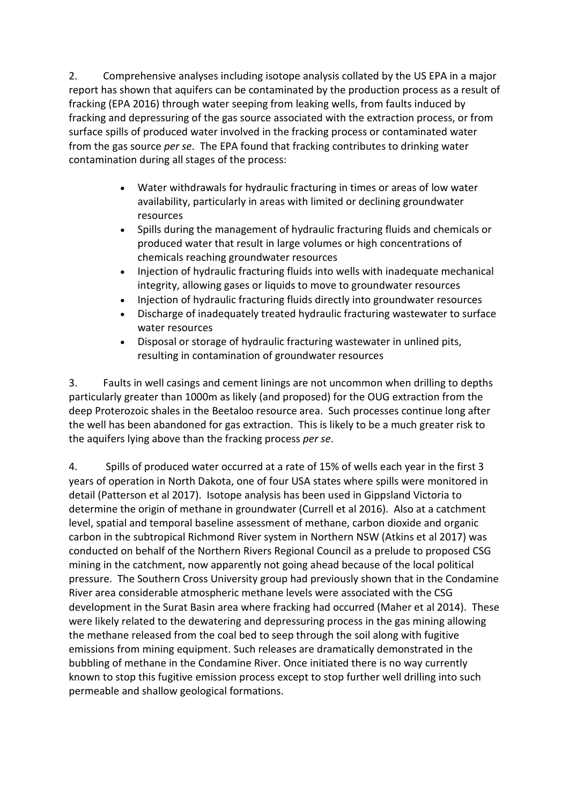2. Comprehensive analyses including isotope analysis collated by the US EPA in a major report has shown that aquifers can be contaminated by the production process as a result of fracking (EPA 2016) through water seeping from leaking wells, from faults induced by fracking and depressuring of the gas source associated with the extraction process, or from surface spills of produced water involved in the fracking process or contaminated water from the gas source *per se*. The EPA found that fracking contributes to drinking water contamination during all stages of the process:

- Water withdrawals for hydraulic fracturing in times or areas of low water availability, particularly in areas with limited or declining groundwater resources
- Spills during the management of hydraulic fracturing fluids and chemicals or produced water that result in large volumes or high concentrations of chemicals reaching groundwater resources
- Injection of hydraulic fracturing fluids into wells with inadequate mechanical integrity, allowing gases or liquids to move to groundwater resources
- Injection of hydraulic fracturing fluids directly into groundwater resources
- Discharge of inadequately treated hydraulic fracturing wastewater to surface water resources
- Disposal or storage of hydraulic fracturing wastewater in unlined pits, resulting in contamination of groundwater resources

3. Faults in well casings and cement linings are not uncommon when drilling to depths particularly greater than 1000m as likely (and proposed) for the OUG extraction from the deep Proterozoic shales in the Beetaloo resource area. Such processes continue long after the well has been abandoned for gas extraction. This is likely to be a much greater risk to the aquifers lying above than the fracking process *per se*.

4. Spills of produced water occurred at a rate of 15% of wells each year in the first 3 years of operation in North Dakota, one of four USA states where spills were monitored in detail (Patterson et al 2017). Isotope analysis has been used in Gippsland Victoria to determine the origin of methane in groundwater (Currell et al 2016). Also at a catchment level, spatial and temporal baseline assessment of methane, carbon dioxide and organic carbon in the subtropical Richmond River system in Northern NSW (Atkins et al 2017) was conducted on behalf of the Northern Rivers Regional Council as a prelude to proposed CSG mining in the catchment, now apparently not going ahead because of the local political pressure. The Southern Cross University group had previously shown that in the Condamine River area considerable atmospheric methane levels were associated with the CSG development in the Surat Basin area where fracking had occurred (Maher et al 2014). These were likely related to the dewatering and depressuring process in the gas mining allowing the methane released from the coal bed to seep through the soil along with fugitive emissions from mining equipment. Such releases are dramatically demonstrated in the bubbling of methane in the Condamine River. Once initiated there is no way currently known to stop this fugitive emission process except to stop further well drilling into such permeable and shallow geological formations.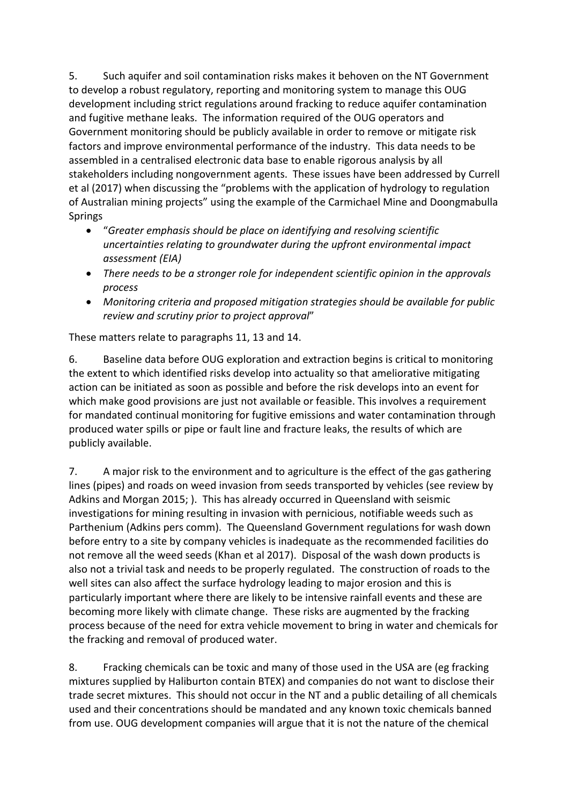5. Such aquifer and soil contamination risks makes it behoven on the NT Government to develop a robust regulatory, reporting and monitoring system to manage this OUG development including strict regulations around fracking to reduce aquifer contamination and fugitive methane leaks. The information required of the OUG operators and Government monitoring should be publicly available in order to remove or mitigate risk factors and improve environmental performance of the industry. This data needs to be assembled in a centralised electronic data base to enable rigorous analysis by all stakeholders including nongovernment agents. These issues have been addressed by Currell et al (2017) when discussing the "problems with the application of hydrology to regulation of Australian mining projects" using the example of the Carmichael Mine and Doongmabulla Springs

- "*Greater emphasis should be place on identifying and resolving scientific uncertainties relating to groundwater during the upfront environmental impact assessment (EIA)*
- *There needs to be a stronger role for independent scientific opinion in the approvals process*
- *Monitoring criteria and proposed mitigation strategies should be available for public review and scrutiny prior to project approval*"

These matters relate to paragraphs 11, 13 and 14.

6. Baseline data before OUG exploration and extraction begins is critical to monitoring the extent to which identified risks develop into actuality so that ameliorative mitigating action can be initiated as soon as possible and before the risk develops into an event for which make good provisions are just not available or feasible. This involves a requirement for mandated continual monitoring for fugitive emissions and water contamination through produced water spills or pipe or fault line and fracture leaks, the results of which are publicly available.

7. A major risk to the environment and to agriculture is the effect of the gas gathering lines (pipes) and roads on weed invasion from seeds transported by vehicles (see review by Adkins and Morgan 2015; ). This has already occurred in Queensland with seismic investigations for mining resulting in invasion with pernicious, notifiable weeds such as Parthenium (Adkins pers comm). The Queensland Government regulations for wash down before entry to a site by company vehicles is inadequate as the recommended facilities do not remove all the weed seeds (Khan et al 2017). Disposal of the wash down products is also not a trivial task and needs to be properly regulated. The construction of roads to the well sites can also affect the surface hydrology leading to major erosion and this is particularly important where there are likely to be intensive rainfall events and these are becoming more likely with climate change. These risks are augmented by the fracking process because of the need for extra vehicle movement to bring in water and chemicals for the fracking and removal of produced water.

8. Fracking chemicals can be toxic and many of those used in the USA are (eg fracking mixtures supplied by Haliburton contain BTEX) and companies do not want to disclose their trade secret mixtures. This should not occur in the NT and a public detailing of all chemicals used and their concentrations should be mandated and any known toxic chemicals banned from use. OUG development companies will argue that it is not the nature of the chemical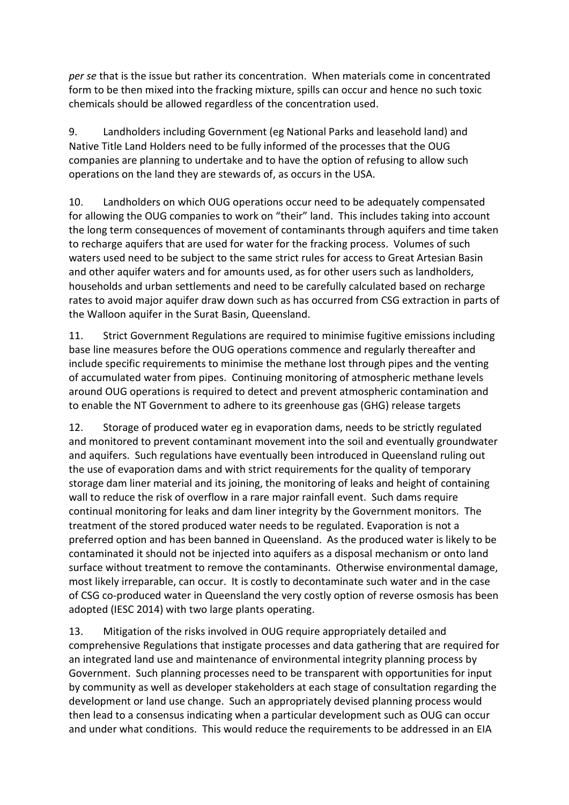*per se* that is the issue but rather its concentration. When materials come in concentrated form to be then mixed into the fracking mixture, spills can occur and hence no such toxic chemicals should be allowed regardless of the concentration used.

9. Landholders including Government (eg National Parks and leasehold land) and Native Title Land Holders need to be fully informed of the processes that the OUG companies are planning to undertake and to have the option of refusing to allow such operations on the land they are stewards of, as occurs in the USA.

10. Landholders on which OUG operations occur need to be adequately compensated for allowing the OUG companies to work on "their" land. This includes taking into account the long term consequences of movement of contaminants through aquifers and time taken to recharge aquifers that are used for water for the fracking process. Volumes of such waters used need to be subject to the same strict rules for access to Great Artesian Basin and other aquifer waters and for amounts used, as for other users such as landholders, households and urban settlements and need to be carefully calculated based on recharge rates to avoid major aquifer draw down such as has occurred from CSG extraction in parts of the Walloon aquifer in the Surat Basin, Queensland.

11. Strict Government Regulations are required to minimise fugitive emissions including base line measures before the OUG operations commence and regularly thereafter and include specific requirements to minimise the methane lost through pipes and the venting of accumulated water from pipes. Continuing monitoring of atmospheric methane levels around OUG operations is required to detect and prevent atmospheric contamination and to enable the NT Government to adhere to its greenhouse gas (GHG) release targets

12. Storage of produced water eg in evaporation dams, needs to be strictly regulated and monitored to prevent contaminant movement into the soil and eventually groundwater and aquifers. Such regulations have eventually been introduced in Queensland ruling out the use of evaporation dams and with strict requirements for the quality of temporary storage dam liner material and its joining, the monitoring of leaks and height of containing wall to reduce the risk of overflow in a rare major rainfall event. Such dams require continual monitoring for leaks and dam liner integrity by the Government monitors. The treatment of the stored produced water needs to be regulated. Evaporation is not a preferred option and has been banned in Queensland. As the produced water is likely to be contaminated it should not be injected into aquifers as a disposal mechanism or onto land surface without treatment to remove the contaminants. Otherwise environmental damage, most likely irreparable, can occur. It is costly to decontaminate such water and in the case of CSG co-produced water in Queensland the very costly option of reverse osmosis has been adopted (IESC 2014) with two large plants operating.

13. Mitigation of the risks involved in OUG require appropriately detailed and comprehensive Regulations that instigate processes and data gathering that are required for an integrated land use and maintenance of environmental integrity planning process by Government. Such planning processes need to be transparent with opportunities for input by community as well as developer stakeholders at each stage of consultation regarding the development or land use change. Such an appropriately devised planning process would then lead to a consensus indicating when a particular development such as OUG can occur and under what conditions. This would reduce the requirements to be addressed in an EIA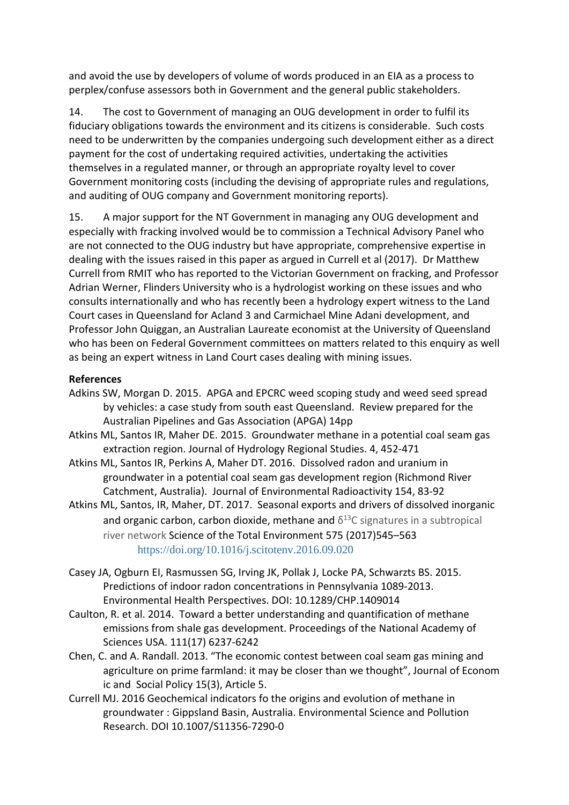and avoid the use by developers of volume of words produced in an EIA as a process to perplex/confuse assessors both in Government and the general public stakeholders.

14. The cost to Government of managing an OUG development in order to fulfil its fiduciary obligations towards the environment and its citizens is considerable. Such costs need to be underwritten by the companies undergoing such development either as a direct payment for the cost of undertaking required activities, undertaking the activities themselves in a regulated manner, or through an appropriate royalty level to cover Government monitoring costs (including the devising of appropriate rules and regulations, and auditing of OUG company and Government monitoring reports).

15. A major support for the NT Government in managing any OUG development and especially with fracking involved would be to commission a Technical Advisory Panel who are not connected to the OUG industry but have appropriate, comprehensive expertise in dealing with the issues raised in this paper as argued in Currell et al (2017). Dr Matthew Currell from RMIT who has reported to the Victorian Government on fracking, and Professor Adrian Werner, Flinders University who is a hydrologist working on these issues and who consults internationally and who has recently been a hydrology expert witness to the Land Court cases in Queensland for Acland 3 and Carmichael Mine Adani development, and Professor John Quiggan, an Australian Laureate economist at the University of Queensland who has been on Federal Government committees on matters related to this enquiry as well as being an expert witness in Land Court cases dealing with mining issues.

## **References**

- Adkins SW, Morgan D. 2015. APGA and EPCRC weed scoping study and weed seed spread by vehicles: a case study from south east Queensland. Review prepared for the Australian Pipelines and Gas Association (APGA) 14pp
- Atkins ML, Santos IR, Maher DE. 2015. Groundwater methane in a potential coal seam gas extraction region. Journal of Hydrology Regional Studies. 4, 452-471
- Atkins ML, Santos IR, Perkins A, Maher DT. 2016. Dissolved radon and uranium in groundwater in a potential coal seam gas development region (Richmond River Catchment, Australia). Journal of Environmental Radioactivity 154, 83-92
- Atkins ML, Santos, IR, Maher, DT. 2017. Seasonal exports and drivers of dissolved inorganic and organic carbon, carbon dioxide, methane and  $\delta^{13}$ C signatures in a subtropical river network Science of the Total Environment 575 (2017)545–563 https://doi.org/10.1016/j.scitotenv.2016.09.020
- Casey JA, Ogburn EI, Rasmussen SG, Irving JK, Pollak J, Locke PA, Schwarzts BS. 2015. Predictions of indoor radon concentrations in Pennsylvania 1089-2013. Environmental Health Perspectives. DOI: 10.1289/CHP.1409014
- Caulton, R. et al. 2014. Toward a better understanding and quantification of methane emissions from shale gas development. Proceedings of the National Academy of Sciences USA. 111(17) 6237-6242
- Chen, C. and A. Randall. 2013. "The economic contest between coal seam gas mining and agriculture on prime farmland: it may be closer than we thought", Journal of Econom ic and Social Policy 15(3), Article 5.
- Currell MJ. 2016 Geochemical indicators fo the origins and evolution of methane in groundwater : Gippsland Basin, Australia. Environmental Science and Pollution Research. DOI 10.1007/S11356-7290-0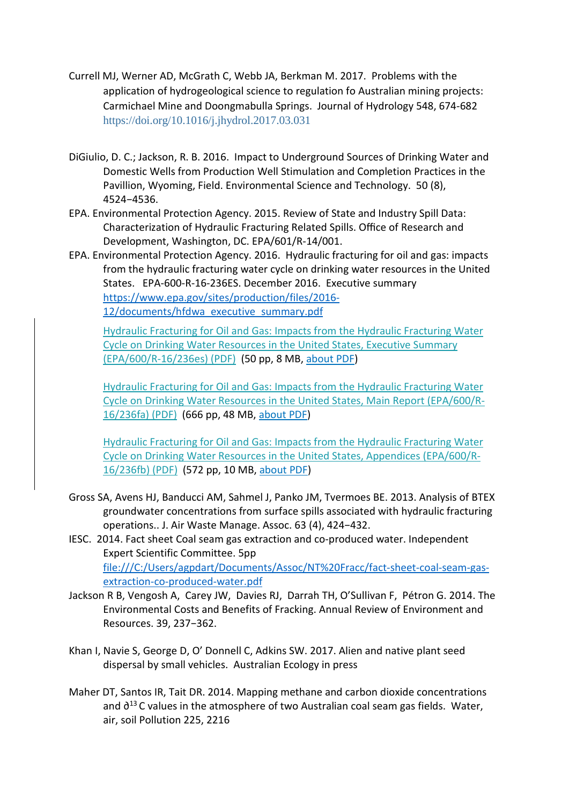- Currell MJ, Werner AD, McGrath C, Webb JA, Berkman M. 2017. Problems with the application of hydrogeological science to regulation fo Australian mining projects: Carmichael Mine and Doongmabulla Springs. Journal of Hydrology 548, 674-682 https://doi.org/10.1016/j.jhydrol.2017.03.031
- DiGiulio, D. C.; Jackson, R. B. 2016. Impact to Underground Sources of Drinking Water and Domestic Wells from Production Well Stimulation and Completion Practices in the Pavillion, Wyoming, Field. Environmental Science and Technology. 50 (8), 4524−4536.
- EPA. Environmental Protection Agency. 2015. Review of State and Industry Spill Data: Characterization of Hydraulic Fracturing Related Spills. Office of Research and Development, Washington, DC. EPA/601/R-14/001.
- EPA. Environmental Protection Agency. 2016. Hydraulic fracturing for oil and gas: impacts from the hydraulic fracturing water cycle on drinking water resources in the United States. EPA-600-R-16-236ES. December 2016. Executive summary https://www.epa.gov/sites/production/files/2016- 12/documents/hfdwa executive summary.pdf

Hydraulic Fracturing for Oil and Gas: Impacts from the Hydraulic Fracturing Water Cycle on Drinking Water Resources in the United States, Executive Summary (EPA/600/R-16/236es) (PDF) (50 pp, 8 MB, about PDF)

Hydraulic Fracturing for Oil and Gas: Impacts from the Hydraulic Fracturing Water Cycle on Drinking Water Resources in the United States, Main Report (EPA/600/R-16/236fa) (PDF) (666 pp, 48 MB, about PDF)

Hydraulic Fracturing for Oil and Gas: Impacts from the Hydraulic Fracturing Water Cycle on Drinking Water Resources in the United States, Appendices (EPA/600/R-16/236fb) (PDF) (572 pp, 10 MB, about PDF)

- Gross SA, Avens HJ, Banducci AM, Sahmel J, Panko JM, Tvermoes BE. 2013. Analysis of BTEX groundwater concentrations from surface spills associated with hydraulic fracturing operations.. J. Air Waste Manage. Assoc. 63 (4), 424−432.
- IESC. 2014. Fact sheet Coal seam gas extraction and co-produced water. Independent Expert Scientific Committee. 5pp file:///C:/Users/agpdart/Documents/Assoc/NT%20Fracc/fact-sheet-coal-seam-gasextraction-co-produced-water.pdf
- Jackson R B, Vengosh A, Carey JW, Davies RJ, Darrah TH, O'Sullivan F, Pétron G. 2014. The Environmental Costs and Benefits of Fracking. Annual Review of Environment and Resources. 39, 237−362.
- Khan I, Navie S, George D, O' Donnell C, Adkins SW. 2017. Alien and native plant seed dispersal by small vehicles. Australian Ecology in press
- Maher DT, Santos IR, Tait DR. 2014. Mapping methane and carbon dioxide concentrations and ∂<sup>13</sup> C values in the atmosphere of two Australian coal seam gas fields. Water, air, soil Pollution 225, 2216